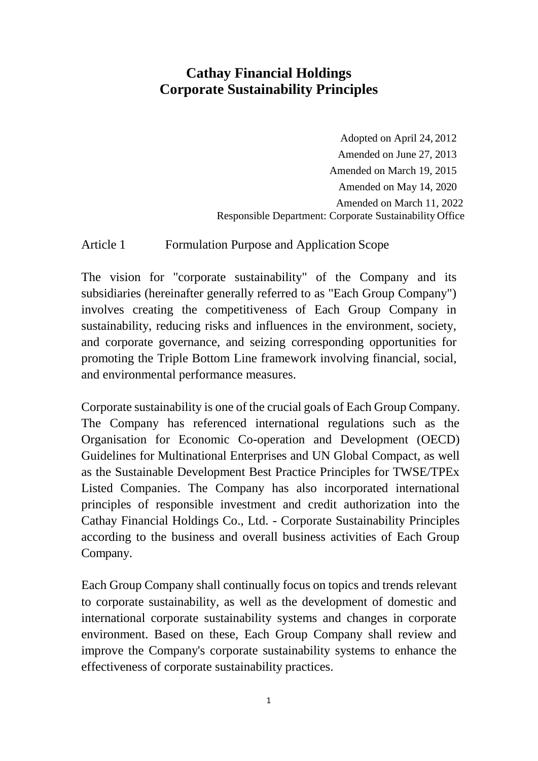# **Cathay Financial Holdings Corporate Sustainability Principles**

Adopted on April 24, 2012 Amended on June 27, 2013 Amended on March 19, 2015 Amended on May 14, 2020 Amended on March 11, 2022 Responsible Department: Corporate Sustainability Office

Article 1 Formulation Purpose and Application Scope

The vision for "corporate sustainability" of the Company and its subsidiaries (hereinafter generally referred to as "Each Group Company") involves creating the competitiveness of Each Group Company in sustainability, reducing risks and influences in the environment, society, and corporate governance, and seizing corresponding opportunities for promoting the Triple Bottom Line framework involving financial, social, and environmental performance measures.

Corporate sustainability is one of the crucial goals of Each Group Company. The Company has referenced international regulations such as the Organisation for Economic Co-operation and Development (OECD) Guidelines for Multinational Enterprises and UN Global Compact, as well as the Sustainable Development Best Practice Principles for TWSE/TPEx Listed Companies. The Company has also incorporated international principles of responsible investment and credit authorization into the Cathay Financial Holdings Co., Ltd. - Corporate Sustainability Principles according to the business and overall business activities of Each Group Company.

Each Group Company shall continually focus on topics and trends relevant to corporate sustainability, as well as the development of domestic and international corporate sustainability systems and changes in corporate environment. Based on these, Each Group Company shall review and improve the Company's corporate sustainability systems to enhance the effectiveness of corporate sustainability practices.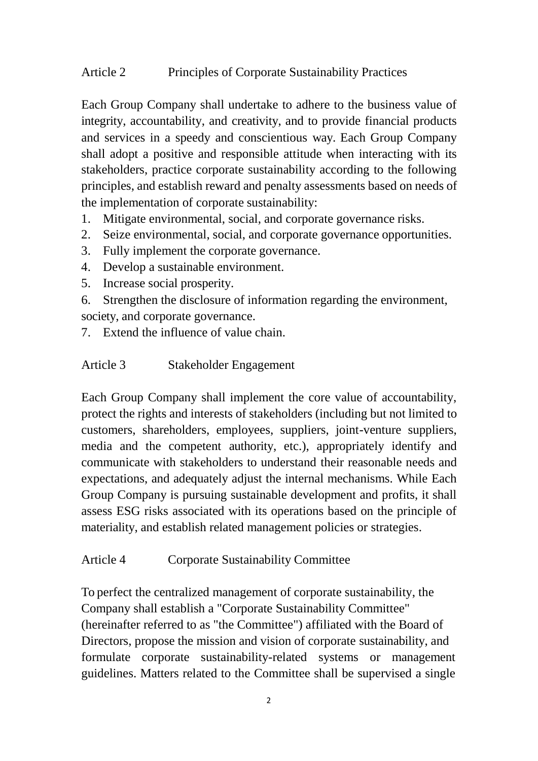## Article 2 Principles of Corporate Sustainability Practices

Each Group Company shall undertake to adhere to the business value of integrity, accountability, and creativity, and to provide financial products and services in a speedy and conscientious way. Each Group Company shall adopt a positive and responsible attitude when interacting with its stakeholders, practice corporate sustainability according to the following principles, and establish reward and penalty assessments based on needs of the implementation of corporate sustainability:

- 1. Mitigate environmental, social, and corporate governance risks.
- 2. Seize environmental, social, and corporate governance opportunities.
- 3. Fully implement the corporate governance.
- 4. Develop a sustainable environment.
- 5. Increase social prosperity.
- 6. Strengthen the disclosure of information regarding the environment, society, and corporate governance.
- 7. Extend the influence of value chain.
- Article 3 Stakeholder Engagement

Each Group Company shall implement the core value of accountability, protect the rights and interests of stakeholders (including but not limited to customers, shareholders, employees, suppliers, joint-venture suppliers, media and the competent authority, etc.), appropriately identify and communicate with stakeholders to understand their reasonable needs and expectations, and adequately adjust the internal mechanisms. While Each Group Company is pursuing sustainable development and profits, it shall assess ESG risks associated with its operations based on the principle of materiality, and establish related management policies or strategies.

### Article 4 Corporate Sustainability Committee

To perfect the centralized management of corporate sustainability, the Company shall establish a "Corporate Sustainability Committee" (hereinafter referred to as "the Committee") affiliated with the Board of Directors, propose the mission and vision of corporate sustainability, and formulate corporate sustainability-related systems or management guidelines. Matters related to the Committee shall be supervised a single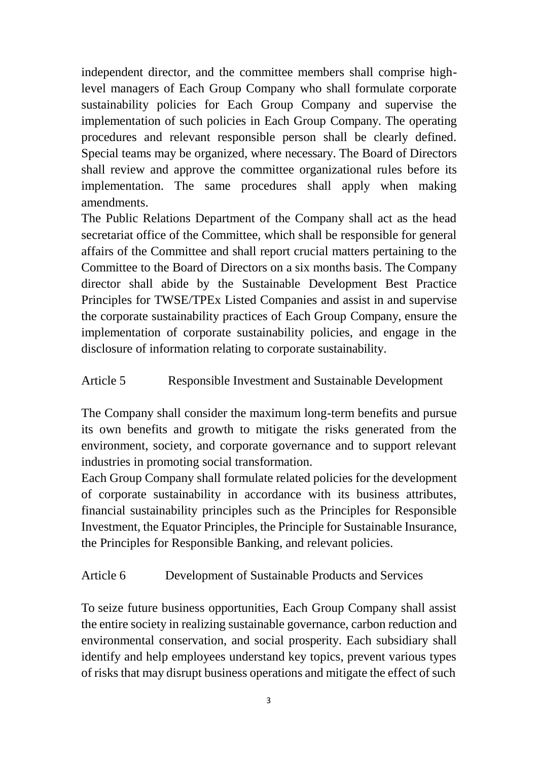independent director, and the committee members shall comprise highlevel managers of Each Group Company who shall formulate corporate sustainability policies for Each Group Company and supervise the implementation of such policies in Each Group Company. The operating procedures and relevant responsible person shall be clearly defined. Special teams may be organized, where necessary. The Board of Directors shall review and approve the committee organizational rules before its implementation. The same procedures shall apply when making amendments.

The Public Relations Department of the Company shall act as the head secretariat office of the Committee, which shall be responsible for general affairs of the Committee and shall report crucial matters pertaining to the Committee to the Board of Directors on a six months basis. The Company director shall abide by the Sustainable Development Best Practice Principles for TWSE/TPEx Listed Companies and assist in and supervise the corporate sustainability practices of Each Group Company, ensure the implementation of corporate sustainability policies, and engage in the disclosure of information relating to corporate sustainability.

# Article 5 Responsible Investment and Sustainable Development

The Company shall consider the maximum long-term benefits and pursue its own benefits and growth to mitigate the risks generated from the environment, society, and corporate governance and to support relevant industries in promoting social transformation.

Each Group Company shall formulate related policies for the development of corporate sustainability in accordance with its business attributes, financial sustainability principles such as the Principles for Responsible Investment, the Equator Principles, the Principle for Sustainable Insurance, the Principles for Responsible Banking, and relevant policies.

### Article 6 Development of Sustainable Products and Services

To seize future business opportunities, Each Group Company shall assist the entire society in realizing sustainable governance, carbon reduction and environmental conservation, and social prosperity. Each subsidiary shall identify and help employees understand key topics, prevent various types of risks that may disrupt business operations and mitigate the effect of such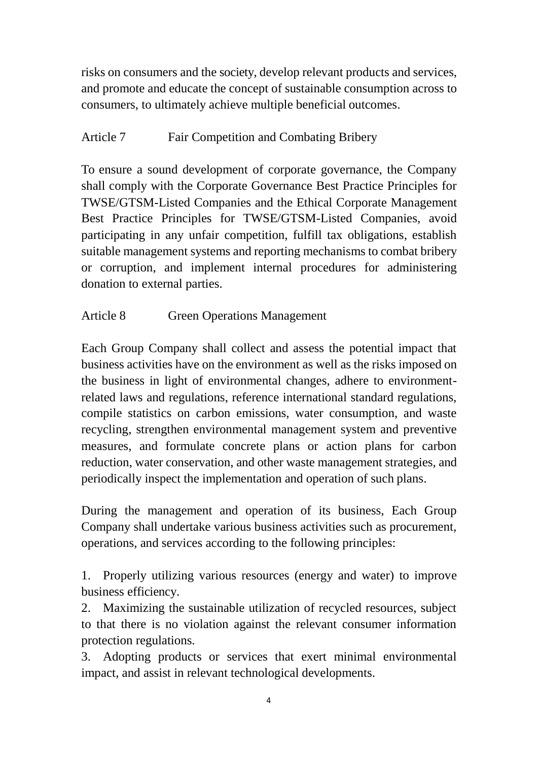risks on consumers and the society, develop relevant products and services, and promote and educate the concept of sustainable consumption across to consumers, to ultimately achieve multiple beneficial outcomes.

# Article 7 Fair Competition and Combating Bribery

To ensure a sound development of corporate governance, the Company shall comply with the Corporate Governance Best Practice Principles for TWSE/GTSM-Listed Companies and the Ethical Corporate Management Best Practice Principles for TWSE/GTSM-Listed Companies, avoid participating in any unfair competition, fulfill tax obligations, establish suitable management systems and reporting mechanisms to combat bribery or corruption, and implement internal procedures for administering donation to external parties.

# Article 8 Green Operations Management

Each Group Company shall collect and assess the potential impact that business activities have on the environment as well as the risks imposed on the business in light of environmental changes, adhere to environmentrelated laws and regulations, reference international standard regulations, compile statistics on carbon emissions, water consumption, and waste recycling, strengthen environmental management system and preventive measures, and formulate concrete plans or action plans for carbon reduction, water conservation, and other waste management strategies, and periodically inspect the implementation and operation of such plans.

During the management and operation of its business, Each Group Company shall undertake various business activities such as procurement, operations, and services according to the following principles:

1. Properly utilizing various resources (energy and water) to improve business efficiency.

2. Maximizing the sustainable utilization of recycled resources, subject to that there is no violation against the relevant consumer information protection regulations.

3. Adopting products or services that exert minimal environmental impact, and assist in relevant technological developments.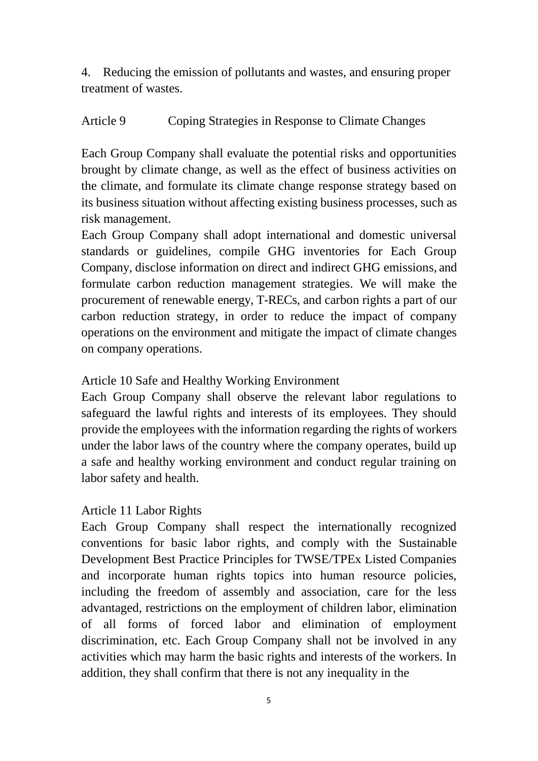4. Reducing the emission of pollutants and wastes, and ensuring proper treatment of wastes.

# Article 9 Coping Strategies in Response to Climate Changes

Each Group Company shall evaluate the potential risks and opportunities brought by climate change, as well as the effect of business activities on the climate, and formulate its climate change response strategy based on its business situation without affecting existing business processes, such as risk management.

Each Group Company shall adopt international and domestic universal standards or guidelines, compile GHG inventories for Each Group Company, disclose information on direct and indirect GHG emissions, and formulate carbon reduction management strategies. We will make the procurement of renewable energy, T-RECs, and carbon rights a part of our carbon reduction strategy, in order to reduce the impact of company operations on the environment and mitigate the impact of climate changes on company operations.

## Article 10 Safe and Healthy Working Environment

Each Group Company shall observe the relevant labor regulations to safeguard the lawful rights and interests of its employees. They should provide the employees with the information regarding the rights of workers under the labor laws of the country where the company operates, build up a safe and healthy working environment and conduct regular training on labor safety and health.

### Article 11 Labor Rights

Each Group Company shall respect the internationally recognized conventions for basic labor rights, and comply with the Sustainable Development Best Practice Principles for TWSE/TPEx Listed Companies and incorporate human rights topics into human resource policies, including the freedom of assembly and association, care for the less advantaged, restrictions on the employment of children labor, elimination of all forms of forced labor and elimination of employment discrimination, etc. Each Group Company shall not be involved in any activities which may harm the basic rights and interests of the workers. In addition, they shall confirm that there is not any inequality in the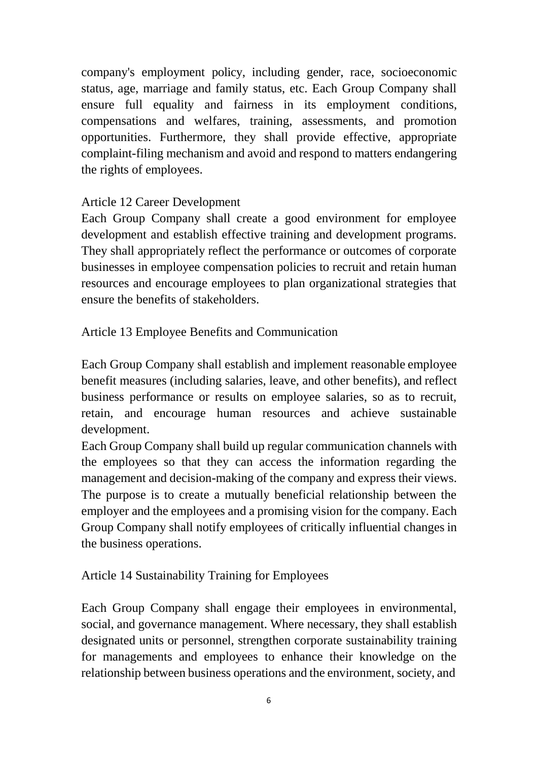company's employment policy, including gender, race, socioeconomic status, age, marriage and family status, etc. Each Group Company shall ensure full equality and fairness in its employment conditions, compensations and welfares, training, assessments, and promotion opportunities. Furthermore, they shall provide effective, appropriate complaint-filing mechanism and avoid and respond to matters endangering the rights of employees.

## Article 12 Career Development

Each Group Company shall create a good environment for employee development and establish effective training and development programs. They shall appropriately reflect the performance or outcomes of corporate businesses in employee compensation policies to recruit and retain human resources and encourage employees to plan organizational strategies that ensure the benefits of stakeholders.

Article 13 Employee Benefits and Communication

Each Group Company shall establish and implement reasonable employee benefit measures (including salaries, leave, and other benefits), and reflect business performance or results on employee salaries, so as to recruit, retain, and encourage human resources and achieve sustainable development.

Each Group Company shall build up regular communication channels with the employees so that they can access the information regarding the management and decision-making of the company and express their views. The purpose is to create a mutually beneficial relationship between the employer and the employees and a promising vision for the company. Each Group Company shall notify employees of critically influential changes in the business operations.

Article 14 Sustainability Training for Employees

Each Group Company shall engage their employees in environmental, social, and governance management. Where necessary, they shall establish designated units or personnel, strengthen corporate sustainability training for managements and employees to enhance their knowledge on the relationship between business operations and the environment, society, and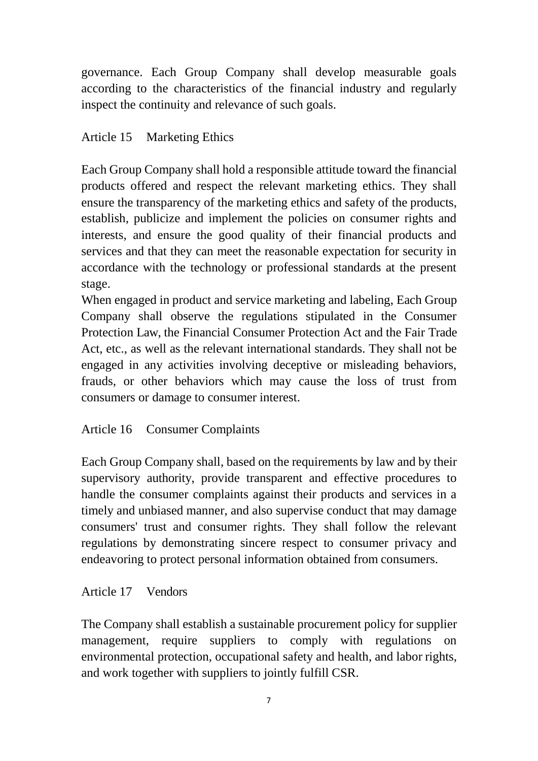governance. Each Group Company shall develop measurable goals according to the characteristics of the financial industry and regularly inspect the continuity and relevance of such goals.

## Article 15 Marketing Ethics

Each Group Company shall hold a responsible attitude toward the financial products offered and respect the relevant marketing ethics. They shall ensure the transparency of the marketing ethics and safety of the products, establish, publicize and implement the policies on consumer rights and interests, and ensure the good quality of their financial products and services and that they can meet the reasonable expectation for security in accordance with the technology or professional standards at the present stage.

When engaged in product and service marketing and labeling, Each Group Company shall observe the regulations stipulated in the Consumer Protection Law, the Financial Consumer Protection Act and the Fair Trade Act, etc., as well as the relevant international standards. They shall not be engaged in any activities involving deceptive or misleading behaviors, frauds, or other behaviors which may cause the loss of trust from consumers or damage to consumer interest.

Article 16 Consumer Complaints

Each Group Company shall, based on the requirements by law and by their supervisory authority, provide transparent and effective procedures to handle the consumer complaints against their products and services in a timely and unbiased manner, and also supervise conduct that may damage consumers' trust and consumer rights. They shall follow the relevant regulations by demonstrating sincere respect to consumer privacy and endeavoring to protect personal information obtained from consumers.

### Article 17 Vendors

The Company shall establish a sustainable procurement policy for supplier management, require suppliers to comply with regulations on environmental protection, occupational safety and health, and labor rights, and work together with suppliers to jointly fulfill CSR.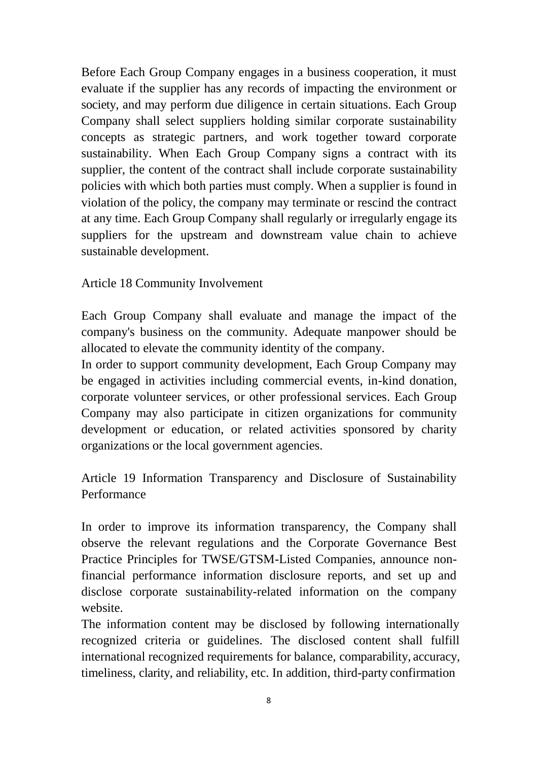Before Each Group Company engages in a business cooperation, it must evaluate if the supplier has any records of impacting the environment or society, and may perform due diligence in certain situations. Each Group Company shall select suppliers holding similar corporate sustainability concepts as strategic partners, and work together toward corporate sustainability. When Each Group Company signs a contract with its supplier, the content of the contract shall include corporate sustainability policies with which both parties must comply. When a supplier is found in violation of the policy, the company may terminate or rescind the contract at any time. Each Group Company shall regularly or irregularly engage its suppliers for the upstream and downstream value chain to achieve sustainable development.

### Article 18 Community Involvement

Each Group Company shall evaluate and manage the impact of the company's business on the community. Adequate manpower should be allocated to elevate the community identity of the company.

In order to support community development, Each Group Company may be engaged in activities including commercial events, in-kind donation, corporate volunteer services, or other professional services. Each Group Company may also participate in citizen organizations for community development or education, or related activities sponsored by charity organizations or the local government agencies.

Article 19 Information Transparency and Disclosure of Sustainability Performance

In order to improve its information transparency, the Company shall observe the relevant regulations and the Corporate Governance Best Practice Principles for TWSE/GTSM-Listed Companies, announce nonfinancial performance information disclosure reports, and set up and disclose corporate sustainability-related information on the company website.

The information content may be disclosed by following internationally recognized criteria or guidelines. The disclosed content shall fulfill international recognized requirements for balance, comparability, accuracy, timeliness, clarity, and reliability, etc. In addition, third-party confirmation